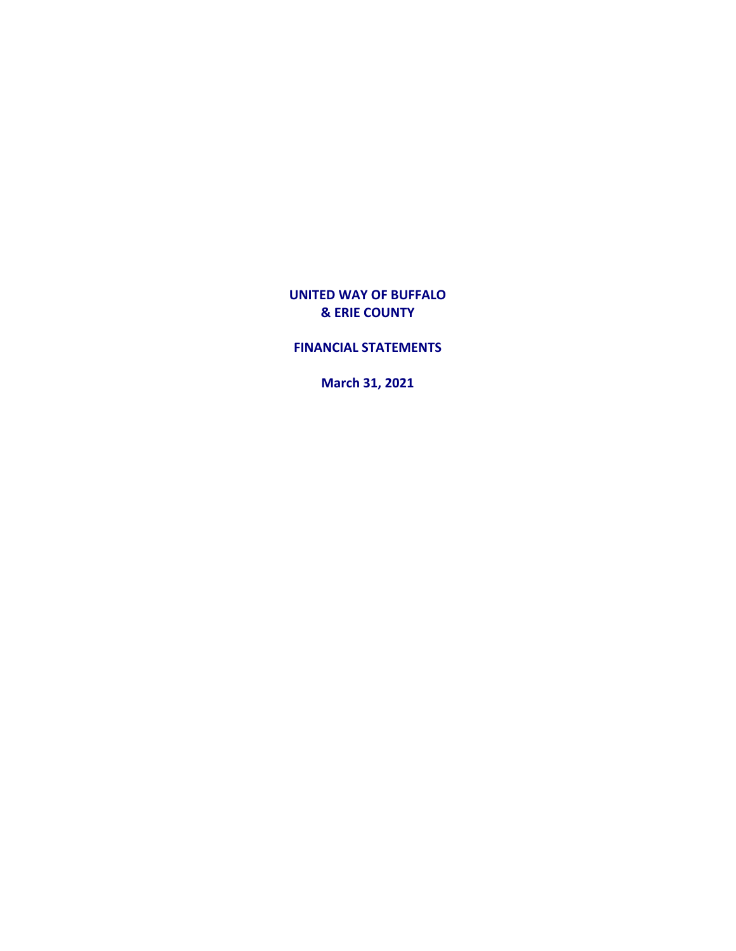**UNITED WAY OF BUFFALO & ERIE COUNTY**

**FINANCIAL STATEMENTS**

**March 31, 2021**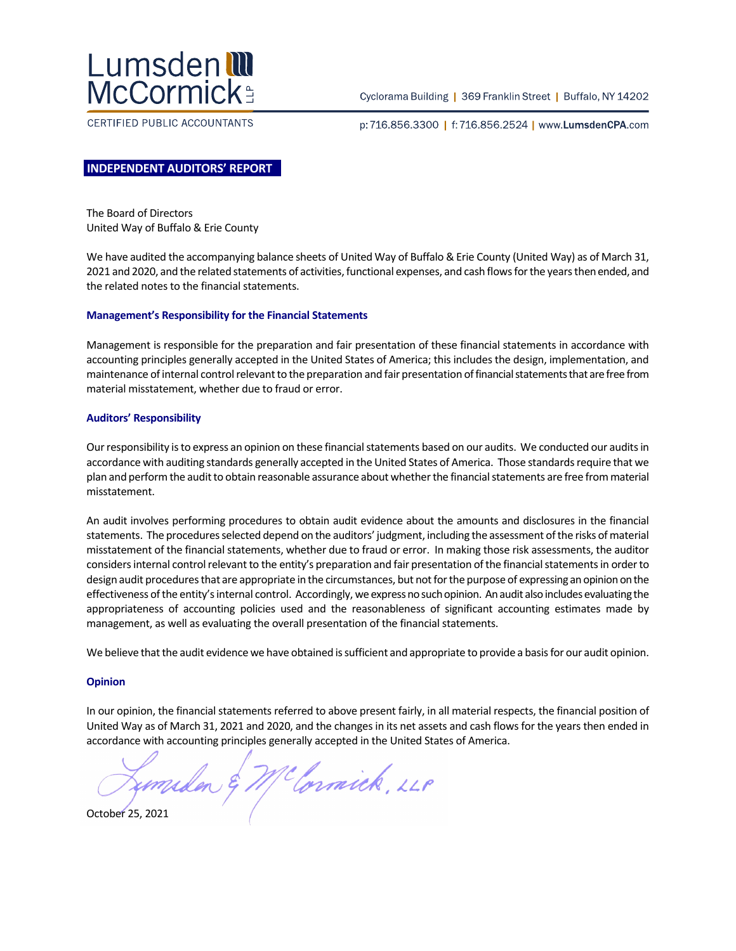

CERTIFIED PUBLIC ACCOUNTANTS

Cyclorama Building | 369 Franklin Street | Buffalo, NY 14202

p:716.856.3300 | f:716.856.2524 | www.LumsdenCPA.com

# **INDEPENDENT AUDITORS' REPORT**

The Board of Directors United Way of Buffalo & Erie County

We have audited the accompanying balance sheets of United Way of Buffalo & Erie County (United Way) as of March 31, 2021 and 2020, and the related statements of activities, functional expenses, and cash flows for the years then ended, and the related notes to the financial statements.

## **Management's Responsibility for the Financial Statements**

Management is responsible for the preparation and fair presentation of these financial statements in accordance with accounting principles generally accepted in the United States of America; this includes the design, implementation, and maintenance of internal control relevant to the preparation and fair presentation of financial statements that are free from material misstatement, whether due to fraud or error.

## **Auditors' Responsibility**

Our responsibility is to express an opinion on these financial statements based on our audits. We conducted our audits in accordance with auditing standards generally accepted in the United States of America. Those standards require that we plan and perform the audit to obtain reasonable assurance about whether the financial statements are free from material misstatement.

An audit involves performing procedures to obtain audit evidence about the amounts and disclosures in the financial statements. The procedures selected depend on the auditors' judgment, including the assessment of the risks of material misstatement of the financial statements, whether due to fraud or error. In making those risk assessments, the auditor considers internal control relevant to the entity's preparation and fair presentation of the financial statements in order to design audit procedures that are appropriate in the circumstances, but not for the purpose of expressing an opinion on the effectiveness of the entity's internal control. Accordingly, we express no such opinion. An audit also includes evaluating the appropriateness of accounting policies used and the reasonableness of significant accounting estimates made by management, as well as evaluating the overall presentation of the financial statements.

We believe that the audit evidence we have obtained is sufficient and appropriate to provide a basis for our audit opinion.

#### **Opinion**

In our opinion, the financial statements referred to above present fairly, in all material respects, the financial position of United Way as of March 31, 2021 and 2020, and the changes in its net assets and cash flows for the years then ended in accordance with accounting principles generally accepted in the United States of America.

Limiden & McCornick, LLP

October 25, 2021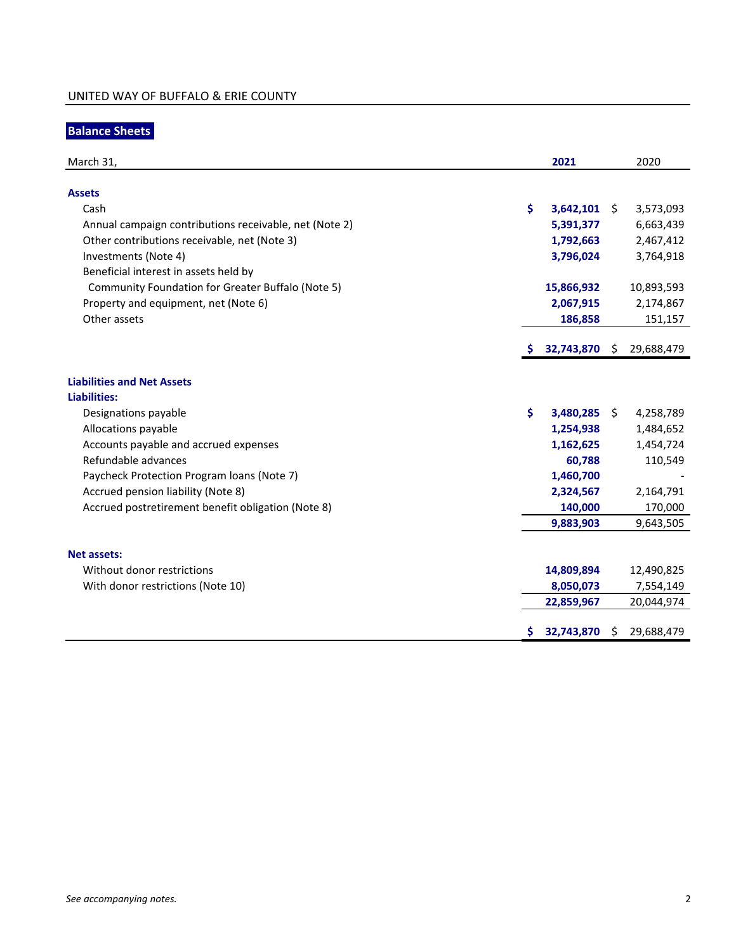# **Balance Sheets**

| March 31,                                              |     | 2021             |      | 2020       |
|--------------------------------------------------------|-----|------------------|------|------------|
|                                                        |     |                  |      |            |
| <b>Assets</b>                                          |     |                  |      |            |
| Cash                                                   | \$  | $3,642,101$ \$   |      | 3,573,093  |
| Annual campaign contributions receivable, net (Note 2) |     | 5,391,377        |      | 6,663,439  |
| Other contributions receivable, net (Note 3)           |     | 1,792,663        |      | 2,467,412  |
| Investments (Note 4)                                   |     | 3,796,024        |      | 3,764,918  |
| Beneficial interest in assets held by                  |     |                  |      |            |
| Community Foundation for Greater Buffalo (Note 5)      |     | 15,866,932       |      | 10,893,593 |
| Property and equipment, net (Note 6)                   |     | 2,067,915        |      | 2,174,867  |
| Other assets                                           |     | 186,858          |      | 151,157    |
|                                                        | S.  | 32,743,870       | \$   | 29,688,479 |
| <b>Liabilities and Net Assets</b>                      |     |                  |      |            |
| <b>Liabilities:</b>                                    |     |                  |      |            |
| Designations payable                                   | \$. | 3,480,285        | - \$ | 4,258,789  |
| Allocations payable                                    |     | 1,254,938        |      | 1,484,652  |
| Accounts payable and accrued expenses                  |     | 1,162,625        |      | 1,454,724  |
| Refundable advances                                    |     | 60,788           |      | 110,549    |
| Paycheck Protection Program loans (Note 7)             |     | 1,460,700        |      |            |
| Accrued pension liability (Note 8)                     |     | 2,324,567        |      | 2,164,791  |
| Accrued postretirement benefit obligation (Note 8)     |     | 140,000          |      | 170,000    |
|                                                        |     | 9,883,903        |      | 9,643,505  |
|                                                        |     |                  |      |            |
| <b>Net assets:</b>                                     |     |                  |      |            |
| Without donor restrictions                             |     | 14,809,894       |      | 12,490,825 |
| With donor restrictions (Note 10)                      |     | 8,050,073        |      | 7,554,149  |
|                                                        |     | 22,859,967       |      | 20,044,974 |
|                                                        |     | $$32,743,870$ \$ |      | 29,688,479 |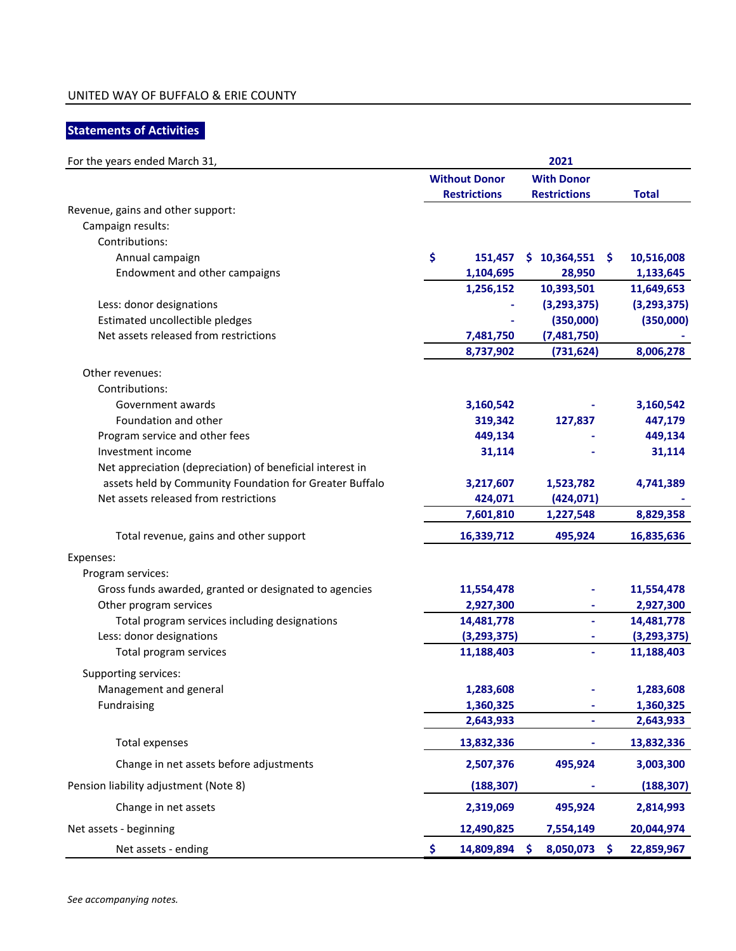# **Statements of Activities**

| For the years ended March 31,                             | 2021 |                      |                     |     |              |
|-----------------------------------------------------------|------|----------------------|---------------------|-----|--------------|
|                                                           |      | <b>Without Donor</b> | <b>With Donor</b>   |     |              |
|                                                           |      | <b>Restrictions</b>  | <b>Restrictions</b> |     | <b>Total</b> |
| Revenue, gains and other support:                         |      |                      |                     |     |              |
| Campaign results:                                         |      |                      |                     |     |              |
| Contributions:                                            |      |                      |                     |     |              |
| Annual campaign                                           | \$   | 151,457              | 10,364,551<br>S.    | -\$ | 10,516,008   |
| Endowment and other campaigns                             |      | 1,104,695            | 28,950              |     | 1,133,645    |
|                                                           |      | 1,256,152            | 10,393,501          |     | 11,649,653   |
| Less: donor designations                                  |      |                      | (3, 293, 375)       |     | (3,293,375)  |
| Estimated uncollectible pledges                           |      |                      | (350,000)           |     | (350,000)    |
| Net assets released from restrictions                     |      | 7,481,750            | (7,481,750)         |     |              |
|                                                           |      | 8,737,902            | (731, 624)          |     | 8,006,278    |
| Other revenues:                                           |      |                      |                     |     |              |
| Contributions:                                            |      |                      |                     |     |              |
| Government awards                                         |      | 3,160,542            |                     |     | 3,160,542    |
| Foundation and other                                      |      | 319,342              | 127,837             |     | 447,179      |
| Program service and other fees                            |      | 449,134              |                     |     | 449,134      |
| Investment income                                         |      | 31,114               |                     |     | 31,114       |
| Net appreciation (depreciation) of beneficial interest in |      |                      |                     |     |              |
| assets held by Community Foundation for Greater Buffalo   |      | 3,217,607            | 1,523,782           |     | 4,741,389    |
| Net assets released from restrictions                     |      | 424,071              | (424, 071)          |     |              |
|                                                           |      | 7,601,810            | 1,227,548           |     | 8,829,358    |
| Total revenue, gains and other support                    |      | 16,339,712           | 495,924             |     | 16,835,636   |
| Expenses:                                                 |      |                      |                     |     |              |
| Program services:                                         |      |                      |                     |     |              |
| Gross funds awarded, granted or designated to agencies    |      | 11,554,478           |                     |     | 11,554,478   |
| Other program services                                    |      | 2,927,300            |                     |     | 2,927,300    |
| Total program services including designations             |      | 14,481,778           |                     |     | 14,481,778   |
| Less: donor designations                                  |      | (3, 293, 375)        |                     |     | (3,293,375)  |
| Total program services                                    |      | 11,188,403           |                     |     | 11,188,403   |
| Supporting services:                                      |      |                      |                     |     |              |
| Management and general                                    |      | 1,283,608            |                     |     | 1,283,608    |
| Fundraising                                               |      | 1,360,325            |                     |     | 1,360,325    |
|                                                           |      | 2,643,933            |                     |     | 2,643,933    |
| <b>Total expenses</b>                                     |      | 13,832,336           |                     |     | 13,832,336   |
| Change in net assets before adjustments                   |      | 2,507,376            | 495,924             |     | 3,003,300    |
| Pension liability adjustment (Note 8)                     |      | (188, 307)           |                     |     | (188, 307)   |
|                                                           |      |                      |                     |     |              |
| Change in net assets                                      |      | 2,319,069            | 495,924             |     | 2,814,993    |
| Net assets - beginning                                    |      | 12,490,825           | 7,554,149           |     | 20,044,974   |
| Net assets - ending                                       | \$.  | 14,809,894           | 8,050,073 \$<br>-S  |     | 22,859,967   |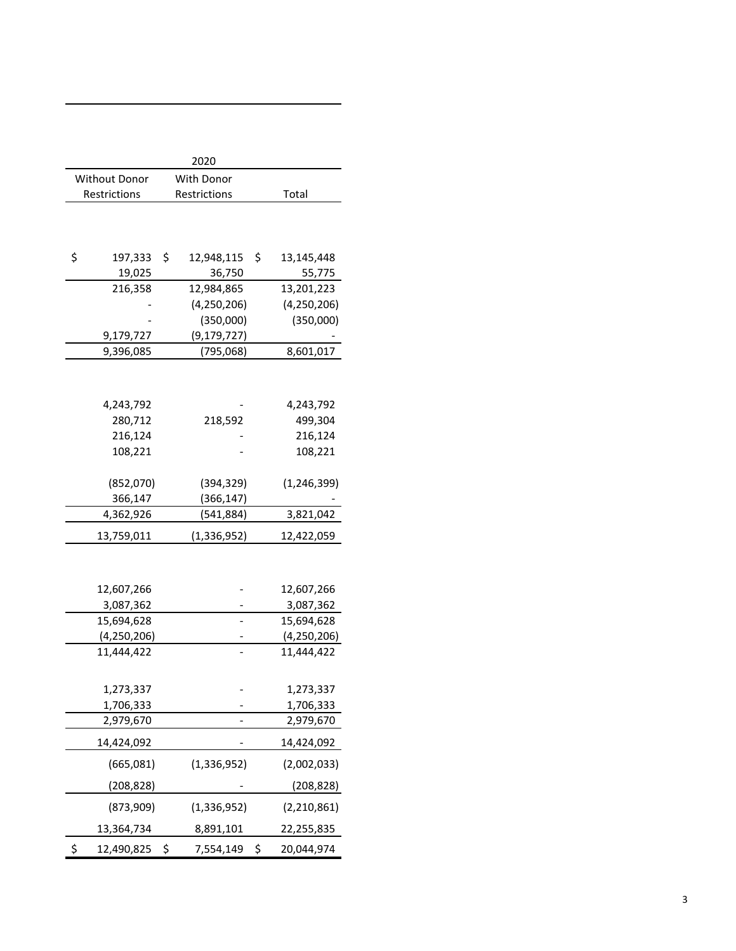|                      |    | 2020              |    |               |
|----------------------|----|-------------------|----|---------------|
| <b>Without Donor</b> |    | <b>With Donor</b> |    |               |
| Restrictions         |    | Restrictions      |    | Total         |
|                      |    |                   |    |               |
| \$<br>197,333        | Ś  | 12,948,115        | Ś  | 13,145,448    |
| 19,025               |    | 36,750            |    | 55,775        |
| 216,358              |    | 12,984,865        |    | 13,201,223    |
|                      |    | (4, 250, 206)     |    | (4, 250, 206) |
|                      |    | (350,000)         |    | (350,000)     |
| 9,179,727            |    | (9, 179, 727)     |    |               |
| 9,396,085            |    | (795,068)         |    | 8,601,017     |
|                      |    |                   |    |               |
| 4,243,792            |    |                   |    | 4,243,792     |
| 280,712              |    | 218,592           |    | 499,304       |
| 216,124              |    |                   |    | 216,124       |
| 108,221              |    |                   |    | 108,221       |
| (852,070)            |    | (394, 329)        |    | (1, 246, 399) |
| 366,147              |    | (366, 147)        |    |               |
| 4,362,926            |    | (541,884)         |    | 3,821,042     |
| 13,759,011           |    | (1,336,952)       |    | 12,422,059    |
|                      |    |                   |    |               |
| 12,607,266           |    |                   |    | 12,607,266    |
| 3,087,362            |    |                   |    | 3,087,362     |
| 15,694,628           |    |                   |    | 15,694,628    |
| (4, 250, 206)        |    |                   |    | (4, 250, 206) |
| 11,444,422           |    |                   |    | 11,444,422    |
| 1,273,337            |    |                   |    | 1,273,337     |
| 1,706,333            |    |                   |    | 1,706,333     |
| 2,979,670            |    |                   |    | 2,979,670     |
| 14,424,092           |    |                   |    | 14,424,092    |
| (665,081)            |    | (1, 336, 952)     |    | (2,002,033)   |
| (208,828)            |    |                   |    | (208,828)     |
| (873,909)            |    | (1, 336, 952)     |    | (2,210,861)   |
| 13,364,734           |    | 8,891,101         |    | 22,255,835    |
| 12,490,825           | \$ | 7,554,149         | \$ | 20,044,974    |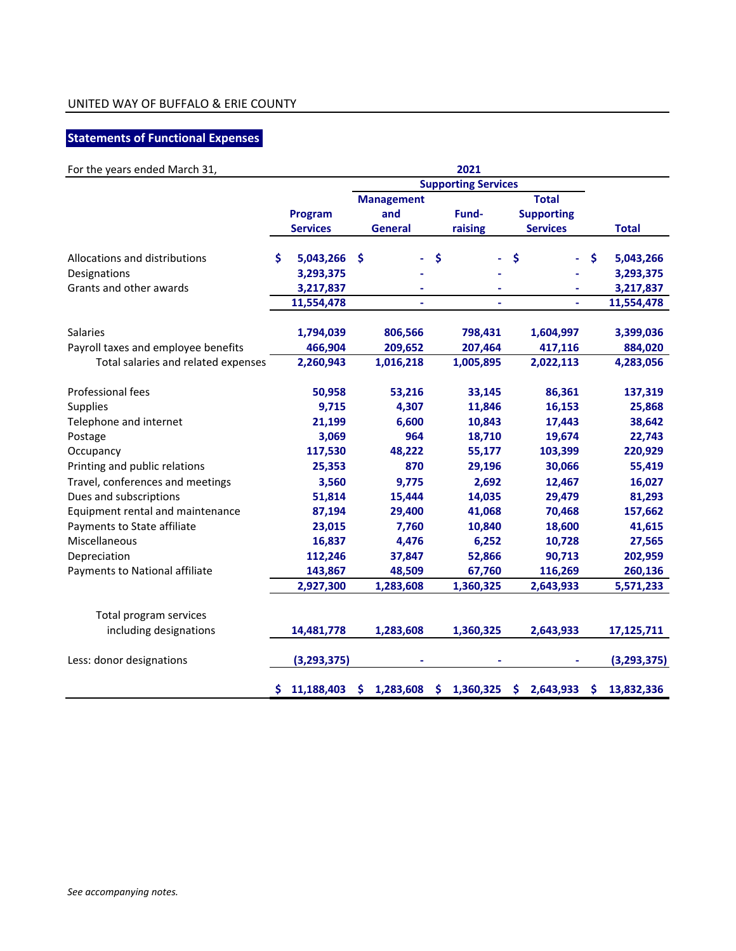# UNITED WAY OF BUFFALO & ERIE COUNTY

# **Statements of Functional Expenses**

| For the years ended March 31,       |    |                 |                   | 2021                       |     |                   |    |              |
|-------------------------------------|----|-----------------|-------------------|----------------------------|-----|-------------------|----|--------------|
|                                     |    |                 |                   | <b>Supporting Services</b> |     |                   |    |              |
|                                     |    |                 | <b>Management</b> |                            |     | <b>Total</b>      |    |              |
|                                     |    | Program         | and               | Fund-                      |     | <b>Supporting</b> |    |              |
|                                     |    | <b>Services</b> | <b>General</b>    | raising                    |     | <b>Services</b>   |    | <b>Total</b> |
| Allocations and distributions       | \$ | $5,043,266$ \$  |                   | \$                         | \$  | ۰                 | \$ | 5,043,266    |
| Designations                        |    | 3,293,375       |                   |                            |     |                   |    | 3,293,375    |
| Grants and other awards             |    | 3,217,837       |                   |                            |     | $\blacksquare$    |    | 3,217,837    |
|                                     |    | 11,554,478      |                   |                            |     |                   |    | 11,554,478   |
| Salaries                            |    | 1,794,039       | 806,566           | 798,431                    |     | 1,604,997         |    | 3,399,036    |
| Payroll taxes and employee benefits |    | 466,904         | 209,652           | 207,464                    |     | 417,116           |    | 884,020      |
| Total salaries and related expenses |    | 2,260,943       | 1,016,218         | 1,005,895                  |     | 2,022,113         |    | 4,283,056    |
| Professional fees                   |    | 50,958          | 53,216            | 33,145                     |     | 86,361            |    | 137,319      |
| Supplies                            |    | 9,715           | 4,307             | 11,846                     |     | 16,153            |    | 25,868       |
| Telephone and internet              |    | 21,199          | 6,600             | 10,843                     |     | 17,443            |    | 38,642       |
| Postage                             |    | 3,069           | 964               | 18,710                     |     | 19,674            |    | 22,743       |
| Occupancy                           |    | 117,530         | 48,222            | 55,177                     |     | 103,399           |    | 220,929      |
| Printing and public relations       |    | 25,353          | 870               | 29,196                     |     | 30,066            |    | 55,419       |
| Travel, conferences and meetings    |    | 3,560           | 9,775             | 2,692                      |     | 12,467            |    | 16,027       |
| Dues and subscriptions              |    | 51,814          | 15,444            | 14,035                     |     | 29,479            |    | 81,293       |
| Equipment rental and maintenance    |    | 87,194          | 29,400            | 41,068                     |     | 70,468            |    | 157,662      |
| Payments to State affiliate         |    | 23,015          | 7,760             | 10,840                     |     | 18,600            |    | 41,615       |
| Miscellaneous                       |    | 16,837          | 4,476             | 6,252                      |     | 10,728            |    | 27,565       |
| Depreciation                        |    | 112,246         | 37,847            | 52,866                     |     | 90,713            |    | 202,959      |
| Payments to National affiliate      |    | 143,867         | 48,509            | 67,760                     |     | 116,269           |    | 260,136      |
|                                     |    | 2,927,300       | 1,283,608         | 1,360,325                  |     | 2,643,933         |    | 5,571,233    |
| Total program services              |    |                 |                   |                            |     |                   |    |              |
| including designations              |    | 14,481,778      | 1,283,608         | 1,360,325                  |     | 2,643,933         |    | 17,125,711   |
|                                     |    |                 |                   |                            |     |                   |    |              |
| Less: donor designations            |    | (3, 293, 375)   |                   |                            |     |                   |    | (3,293,375)  |
|                                     | S. | 11,188,403      | \$<br>1,283,608   | \$<br>1,360,325            | \$. | 2,643,933         | s  | 13,832,336   |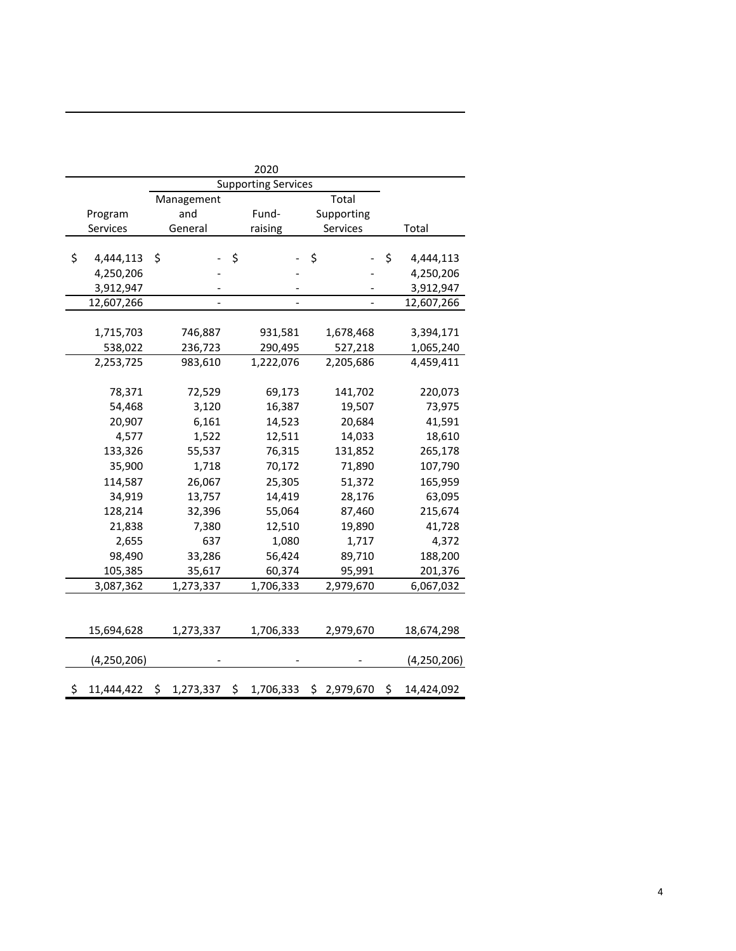|     |                         |                          | 2020                       |                        |                  |
|-----|-------------------------|--------------------------|----------------------------|------------------------|------------------|
|     |                         |                          | <b>Supporting Services</b> |                        |                  |
|     |                         | Management               |                            | Total                  |                  |
|     | Program                 | and                      | Fund-                      | Supporting             |                  |
|     | Services                | General                  | raising                    | Services               | Total            |
|     |                         |                          |                            |                        |                  |
| \$  | 4,444,113               | \$                       | \$                         | \$                     | \$<br>4,444,113  |
|     | 4,250,206               |                          |                            |                        | 4,250,206        |
|     | 3,912,947               |                          |                            |                        | 3,912,947        |
|     | 12,607,266              | $\overline{\phantom{0}}$ | $\overline{\phantom{0}}$   |                        | 12,607,266       |
|     | 1,715,703               | 746,887                  | 931,581                    | 1,678,468              | 3,394,171        |
|     | 538,022                 | 236,723                  | 290,495                    | 527,218                | 1,065,240        |
|     | 2,253,725               | 983,610                  | 1,222,076                  | 2,205,686              | 4,459,411        |
|     |                         |                          |                            |                        |                  |
|     | 78,371                  | 72,529                   | 69,173                     | 141,702                | 220,073          |
|     | 54,468                  | 3,120                    | 16,387                     | 19,507                 | 73,975           |
|     | 20,907                  | 6,161                    | 14,523                     | 20,684                 | 41,591           |
|     | 4,577                   | 1,522                    | 12,511                     | 14,033                 | 18,610           |
|     | 133,326                 | 55,537                   | 76,315                     | 131,852                | 265,178          |
|     | 35,900                  | 1,718                    | 70,172                     | 71,890                 | 107,790          |
|     | 114,587                 | 26,067                   | 25,305                     | 51,372                 | 165,959          |
|     | 34,919                  | 13,757                   | 14,419                     | 28,176                 | 63,095           |
|     | 128,214                 | 32,396                   | 55,064                     | 87,460                 | 215,674          |
|     | 21,838                  | 7,380                    | 12,510                     | 19,890                 | 41,728           |
|     | 2,655                   | 637                      | 1,080                      | 1,717                  | 4,372            |
|     | 98,490                  | 33,286                   | 56,424                     | 89,710                 | 188,200          |
|     | 105,385                 | 35,617                   | 60,374                     | 95,991                 | 201,376          |
|     | 3,087,362               | 1,273,337                | 1,706,333                  | 2,979,670              | 6,067,032        |
|     |                         |                          |                            |                        |                  |
|     | 15,694,628              | 1,273,337                | 1,706,333                  | 2,979,670              | 18,674,298       |
|     | (4, 250, 206)           |                          |                            |                        | (4, 250, 206)    |
| \$. | 11,444,422 \$ 1,273,337 |                          | \$                         | 1,706,333 \$ 2,979,670 | \$<br>14,424,092 |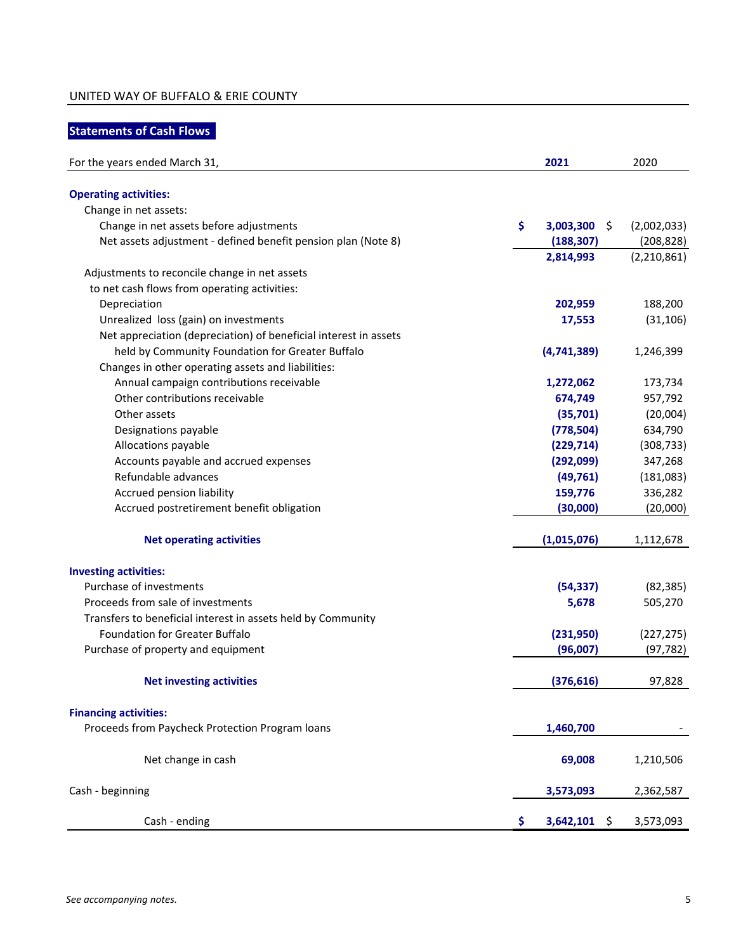# UNITED WAY OF BUFFALO & ERIE COUNTY

# **Statements of Cash Flows**

| For the years ended March 31,                                    |    | 2021             | 2020          |
|------------------------------------------------------------------|----|------------------|---------------|
| <b>Operating activities:</b>                                     |    |                  |               |
| Change in net assets:                                            |    |                  |               |
| Change in net assets before adjustments                          | \$ | 3,003,300<br>-\$ | (2,002,033)   |
| Net assets adjustment - defined benefit pension plan (Note 8)    |    | (188, 307)       | (208, 828)    |
|                                                                  |    | 2,814,993        | (2, 210, 861) |
| Adjustments to reconcile change in net assets                    |    |                  |               |
| to net cash flows from operating activities:                     |    |                  |               |
| Depreciation                                                     |    | 202,959          | 188,200       |
| Unrealized loss (gain) on investments                            |    | 17,553           | (31, 106)     |
| Net appreciation (depreciation) of beneficial interest in assets |    |                  |               |
| held by Community Foundation for Greater Buffalo                 |    | (4,741,389)      | 1,246,399     |
| Changes in other operating assets and liabilities:               |    |                  |               |
| Annual campaign contributions receivable                         |    | 1,272,062        | 173,734       |
| Other contributions receivable                                   |    | 674,749          | 957,792       |
| Other assets                                                     |    | (35, 701)        | (20,004)      |
| Designations payable                                             |    | (778, 504)       | 634,790       |
| Allocations payable                                              |    | (229, 714)       | (308, 733)    |
| Accounts payable and accrued expenses                            |    | (292,099)        | 347,268       |
| Refundable advances                                              |    | (49, 761)        | (181,083)     |
| Accrued pension liability                                        |    | 159,776          | 336,282       |
| Accrued postretirement benefit obligation                        |    | (30,000)         | (20,000)      |
| <b>Net operating activities</b>                                  |    | (1,015,076)      | 1,112,678     |
| <b>Investing activities:</b>                                     |    |                  |               |
| Purchase of investments                                          |    | (54, 337)        | (82, 385)     |
| Proceeds from sale of investments                                |    | 5,678            | 505,270       |
| Transfers to beneficial interest in assets held by Community     |    |                  |               |
| <b>Foundation for Greater Buffalo</b>                            |    | (231,950)        | (227, 275)    |
| Purchase of property and equipment                               |    | (96,007)         | (97, 782)     |
|                                                                  |    |                  |               |
| <b>Net investing activities</b>                                  |    | (376, 616)       | 97,828        |
| <b>Financing activities:</b>                                     |    |                  |               |
| Proceeds from Paycheck Protection Program loans                  |    | 1,460,700        |               |
|                                                                  |    |                  |               |
| Net change in cash                                               |    | 69,008           | 1,210,506     |
| Cash - beginning                                                 |    | 3,573,093        | 2,362,587     |
| Cash - ending                                                    | s  | $3,642,101$ \$   | 3,573,093     |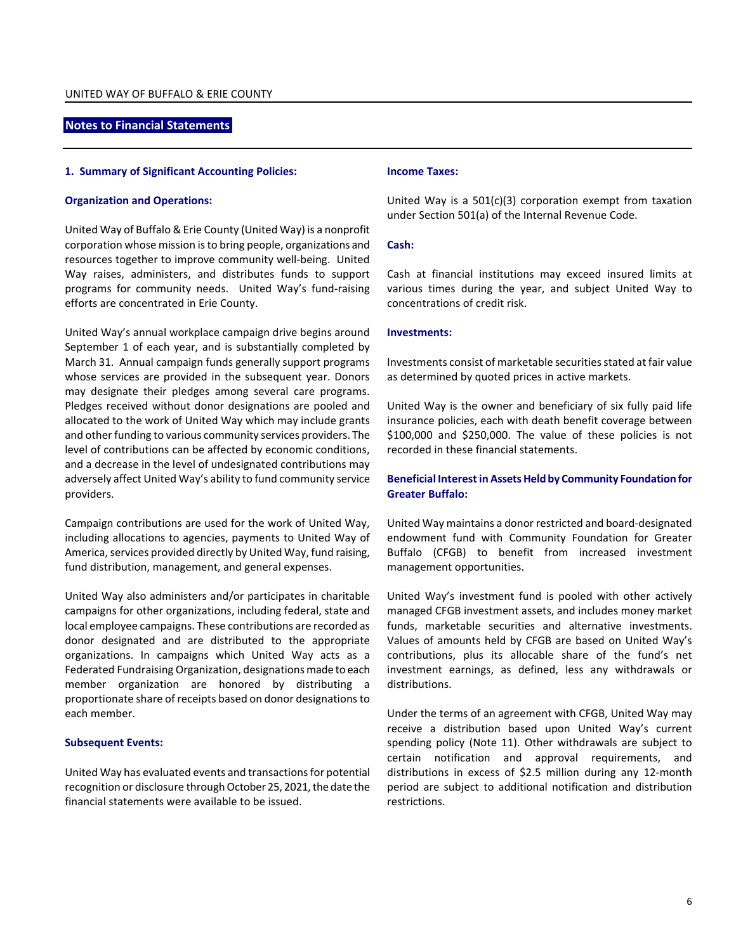## **Notes to Financial Statements**

#### **1. Summary of Significant Accounting Policies:**

## **Organization and Operations:**

United Way of Buffalo & Erie County (United Way) is a nonprofit corporation whose mission is to bring people, organizations and resources together to improve community well-being. United Way raises, administers, and distributes funds to support programs for community needs. United Way's fund-raising efforts are concentrated in Erie County.

United Way's annual workplace campaign drive begins around September 1 of each year, and is substantially completed by March 31. Annual campaign funds generally support programs whose services are provided in the subsequent year. Donors may designate their pledges among several care programs. Pledges received without donor designations are pooled and allocated to the work of United Way which may include grants and other funding to various community services providers. The level of contributions can be affected by economic conditions, and a decrease in the level of undesignated contributions may adversely affect United Way's ability to fund community service providers.

Campaign contributions are used for the work of United Way, including allocations to agencies, payments to United Way of America, services provided directly by United Way, fund raising, fund distribution, management, and general expenses.

United Way also administers and/or participates in charitable campaigns for other organizations, including federal, state and local employee campaigns. These contributions are recorded as donor designated and are distributed to the appropriate organizations. In campaigns which United Way acts as a Federated Fundraising Organization, designations made to each member organization are honored by distributing a proportionate share of receipts based on donor designations to each member.

## **Subsequent Events:**

United Way has evaluated events and transactions for potential recognition or disclosure through October 25, 2021, the date the financial statements were available to be issued.

## **Income Taxes:**

United Way is a 501(c)(3) corporation exempt from taxation under Section 501(a) of the Internal Revenue Code.

## **Cash:**

Cash at financial institutions may exceed insured limits at various times during the year, and subject United Way to concentrations of credit risk.

#### **Investments:**

Investments consist of marketable securities stated at fair value as determined by quoted prices in active markets.

United Way is the owner and beneficiary of six fully paid life insurance policies, each with death benefit coverage between \$100,000 and \$250,000. The value of these policies is not recorded in these financial statements.

# **Beneficial Interestin Assets Held by Community Foundation for Greater Buffalo:**

United Way maintains a donor restricted and board-designated endowment fund with Community Foundation for Greater Buffalo (CFGB) to benefit from increased investment management opportunities.

United Way's investment fund is pooled with other actively managed CFGB investment assets, and includes money market funds, marketable securities and alternative investments. Values of amounts held by CFGB are based on United Way's contributions, plus its allocable share of the fund's net investment earnings, as defined, less any withdrawals or distributions.

Under the terms of an agreement with CFGB, United Way may receive a distribution based upon United Way's current spending policy (Note 11). Other withdrawals are subject to certain notification and approval requirements, and distributions in excess of \$2.5 million during any 12-month period are subject to additional notification and distribution restrictions.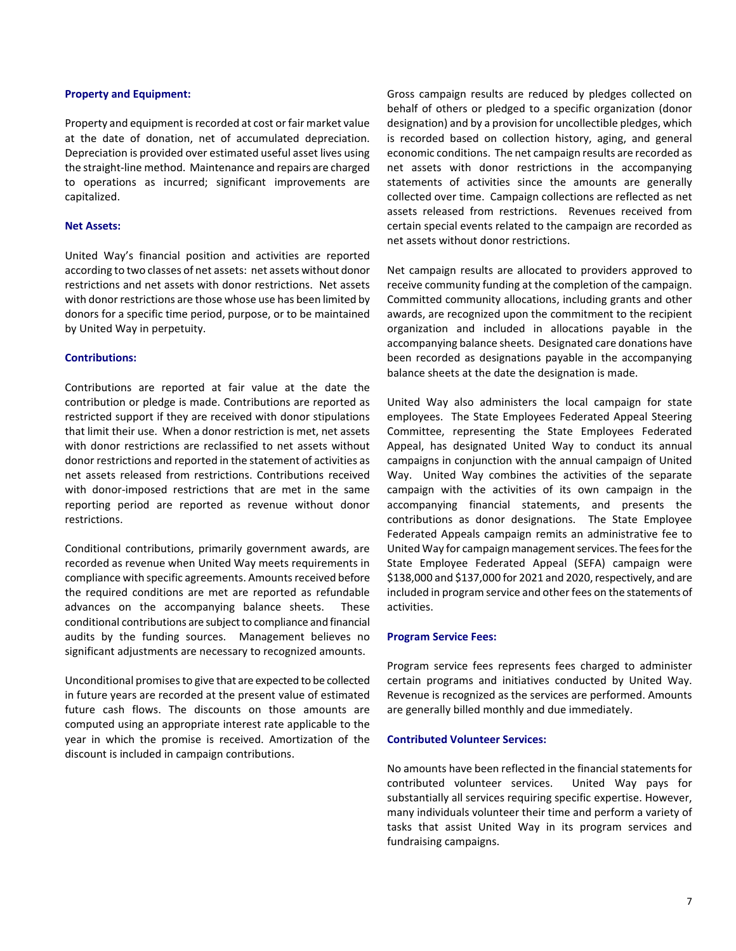#### **Property and Equipment:**

Property and equipment is recorded at cost or fair market value at the date of donation, net of accumulated depreciation. Depreciation is provided over estimated useful asset lives using the straight-line method. Maintenance and repairs are charged to operations as incurred; significant improvements are capitalized.

## **Net Assets:**

United Way's financial position and activities are reported according to two classes of net assets: net assets without donor restrictions and net assets with donor restrictions. Net assets with donor restrictions are those whose use has been limited by donors for a specific time period, purpose, or to be maintained by United Way in perpetuity.

### **Contributions:**

Contributions are reported at fair value at the date the contribution or pledge is made. Contributions are reported as restricted support if they are received with donor stipulations that limit their use. When a donor restriction is met, net assets with donor restrictions are reclassified to net assets without donor restrictions and reported in the statement of activities as net assets released from restrictions. Contributions received with donor-imposed restrictions that are met in the same reporting period are reported as revenue without donor restrictions.

Conditional contributions, primarily government awards, are recorded as revenue when United Way meets requirements in compliance with specific agreements. Amounts received before the required conditions are met are reported as refundable advances on the accompanying balance sheets. These conditional contributions are subject to compliance and financial audits by the funding sources. Management believes no significant adjustments are necessary to recognized amounts.

Unconditional promises to give that are expected to be collected in future years are recorded at the present value of estimated future cash flows. The discounts on those amounts are computed using an appropriate interest rate applicable to the year in which the promise is received. Amortization of the discount is included in campaign contributions.

Gross campaign results are reduced by pledges collected on behalf of others or pledged to a specific organization (donor designation) and by a provision for uncollectible pledges, which is recorded based on collection history, aging, and general economic conditions. The net campaign results are recorded as net assets with donor restrictions in the accompanying statements of activities since the amounts are generally collected over time. Campaign collections are reflected as net assets released from restrictions. Revenues received from certain special events related to the campaign are recorded as net assets without donor restrictions.

Net campaign results are allocated to providers approved to receive community funding at the completion of the campaign. Committed community allocations, including grants and other awards, are recognized upon the commitment to the recipient organization and included in allocations payable in the accompanying balance sheets. Designated care donations have been recorded as designations payable in the accompanying balance sheets at the date the designation is made.

United Way also administers the local campaign for state employees. The State Employees Federated Appeal Steering Committee, representing the State Employees Federated Appeal, has designated United Way to conduct its annual campaigns in conjunction with the annual campaign of United Way. United Way combines the activities of the separate campaign with the activities of its own campaign in the accompanying financial statements, and presents the contributions as donor designations. The State Employee Federated Appeals campaign remits an administrative fee to United Way for campaign management services. The fees forthe State Employee Federated Appeal (SEFA) campaign were \$138,000 and \$137,000 for 2021 and 2020, respectively, and are included in program service and other fees on the statements of activities.

#### **Program Service Fees:**

Program service fees represents fees charged to administer certain programs and initiatives conducted by United Way. Revenue is recognized as the services are performed. Amounts are generally billed monthly and due immediately.

## **Contributed Volunteer Services:**

No amounts have been reflected in the financial statements for contributed volunteer services. United Way pays for substantially all services requiring specific expertise. However, many individuals volunteer their time and perform a variety of tasks that assist United Way in its program services and fundraising campaigns.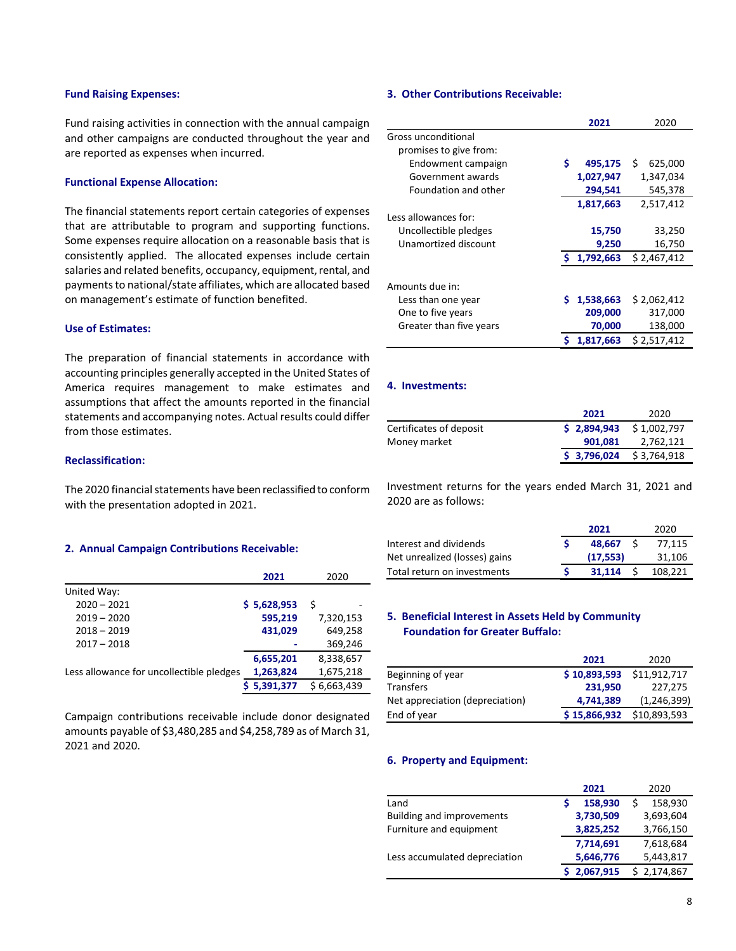## **Fund Raising Expenses:**

Fund raising activities in connection with the annual campaign and other campaigns are conducted throughout the year and are reported as expenses when incurred.

## **Functional Expense Allocation:**

The financial statements report certain categories of expenses that are attributable to program and supporting functions. Some expenses require allocation on a reasonable basis that is consistently applied. The allocated expenses include certain salaries and related benefits, occupancy, equipment, rental, and payments to national/state affiliates, which are allocated based on management's estimate of function benefited.

## **Use of Estimates:**

The preparation of financial statements in accordance with accounting principles generally accepted in the United States of America requires management to make estimates and assumptions that affect the amounts reported in the financial statements and accompanying notes. Actual results could differ from those estimates.

## **Reclassification:**

The 2020 financial statements have been reclassified to conform with the presentation adopted in 2021.

#### **2. Annual Campaign Contributions Receivable:**

|                                          | 2021        | 2020        |
|------------------------------------------|-------------|-------------|
| United Way:                              |             |             |
| $2020 - 2021$                            | \$5,628,953 | Ś           |
| $2019 - 2020$                            | 595,219     | 7,320,153   |
| $2018 - 2019$                            | 431,029     | 649,258     |
| $2017 - 2018$                            |             | 369,246     |
|                                          | 6,655,201   | 8,338,657   |
| Less allowance for uncollectible pledges | 1,263,824   | 1,675,218   |
|                                          | 5,391,377   | \$6,663,439 |

Campaign contributions receivable include donor designated amounts payable of \$3,480,285 and \$4,258,789 as of March 31, 2021 and 2020.

# **3. Other Contributions Receivable:**

|                         | 2021            |         |    | 2020        |
|-------------------------|-----------------|---------|----|-------------|
| Gross unconditional     |                 |         |    |             |
| promises to give from:  |                 |         |    |             |
| Endowment campaign      | \$.             | 495,175 | Ś. | 625,000     |
| Government awards       | 1,027,947       |         |    | 1,347,034   |
| Foundation and other    |                 | 294,541 |    | 545,378     |
|                         | 1,817,663       |         |    | 2,517,412   |
| Less allowances for:    |                 |         |    |             |
| Uncollectible pledges   |                 | 15,750  |    | 33,250      |
| Unamortized discount    |                 | 9,250   |    | 16,750      |
|                         | Ŝ.<br>1,792,663 |         |    | \$2,467,412 |
| Amounts due in:         |                 |         |    |             |
| Less than one year      | Ś.<br>1,538,663 |         |    | \$2,062,412 |
| One to five years       |                 | 209,000 |    | 317,000     |
| Greater than five years |                 | 70,000  |    | 138,000     |
|                         | Ś<br>1,817,663  |         |    | \$2,517,412 |

## **4. Investments:**

|                         | 2021        | 2020         |
|-------------------------|-------------|--------------|
| Certificates of deposit | \$2,894,943 | \$1,002,797  |
| Money market            | 901.081     | 2,762,121    |
|                         | \$3,796,024 | \$ 3,764,918 |

Investment returns for the years ended March 31, 2021 and 2020 are as follows:

|                               | 2021      |     | 2020    |
|-------------------------------|-----------|-----|---------|
| Interest and dividends        | 48.667    | - S | 77.115  |
| Net unrealized (losses) gains | (17, 553) |     | 31.106  |
| Total return on investments   | 31.114    |     | 108.221 |

# **5. Beneficial Interest in Assets Held by Community Foundation for Greater Buffalo:**

|                                 | 2021                      | 2020         |
|---------------------------------|---------------------------|--------------|
| Beginning of year               | \$10,893,593 \$11,912,717 |              |
| Transfers                       | 231.950                   | 227.275      |
| Net appreciation (depreciation) | 4,741,389                 | (1,246,399)  |
| End of year                     | \$15,866,932              | \$10,893,593 |

## **6. Property and Equipment:**

|                               | 2021      | 2020        |  |
|-------------------------------|-----------|-------------|--|
| Land                          | 158,930   | 158,930     |  |
| Building and improvements     | 3,730,509 | 3,693,604   |  |
| Furniture and equipment       | 3,825,252 | 3,766,150   |  |
|                               | 7,714,691 | 7,618,684   |  |
| Less accumulated depreciation | 5,646,776 | 5,443,817   |  |
|                               | 2,067,915 | \$2,174,867 |  |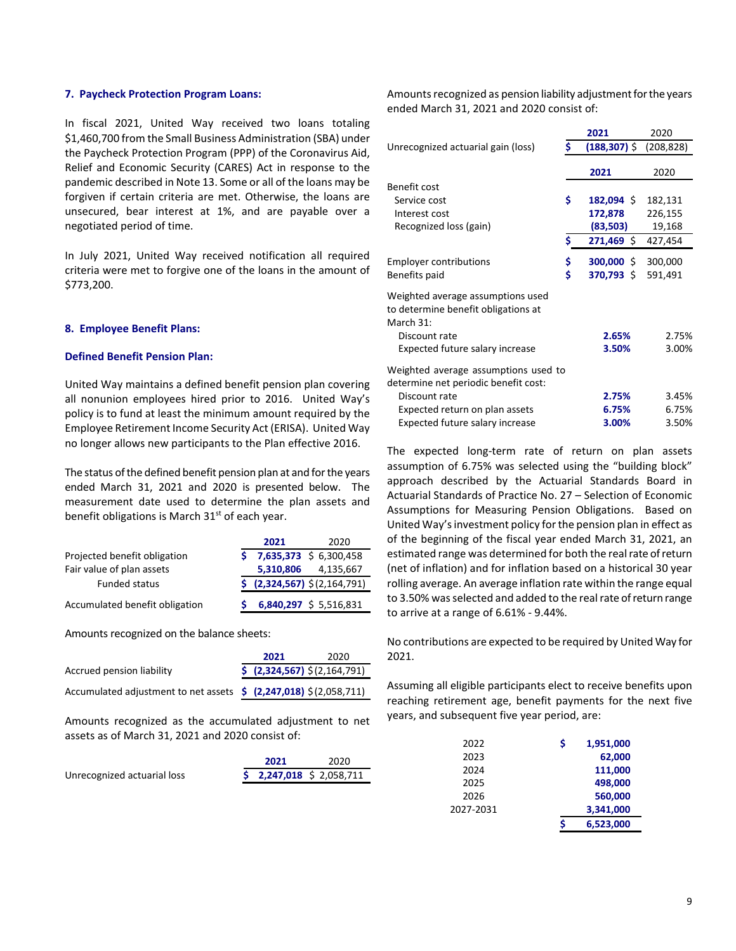### **7. Paycheck Protection Program Loans:**

In fiscal 2021, United Way received two loans totaling \$1,460,700 from the Small Business Administration (SBA) under the Paycheck Protection Program (PPP) of the Coronavirus Aid, Relief and Economic Security (CARES) Act in response to the pandemic described in Note 13. Some or all of the loans may be forgiven if certain criteria are met. Otherwise, the loans are unsecured, bear interest at 1%, and are payable over a negotiated period of time.

In July 2021, United Way received notification all required criteria were met to forgive one of the loans in the amount of \$773,200.

## **8. Employee Benefit Plans:**

## **Defined Benefit Pension Plan:**

United Way maintains a defined benefit pension plan covering all nonunion employees hired prior to 2016. United Way's policy is to fund at least the minimum amount required by the Employee Retirement Income Security Act (ERISA). United Way no longer allows new participants to the Plan effective 2016.

The status of the defined benefit pension plan at and for the years ended March 31, 2021 and 2020 is presented below. The measurement date used to determine the plan assets and benefit obligations is March 31<sup>st</sup> of each year.

|                                | 2021 | 2020                                                |
|--------------------------------|------|-----------------------------------------------------|
| Projected benefit obligation   |      | $$7,635,373 \$6,300,458$                            |
| Fair value of plan assets      |      | 5,310,806 4,135,667                                 |
| <b>Funded status</b>           |      | $\frac{1}{2}$ (2,324,567) $\frac{1}{2}$ (2,164,791) |
| Accumulated benefit obligation |      | 6,840,297 \$ 5,516,831                              |

Amounts recognized on the balance sheets:

|                                                                                            | 2021 | 2020                                                |
|--------------------------------------------------------------------------------------------|------|-----------------------------------------------------|
| Accrued pension liability                                                                  |      | $\frac{1}{2}$ (2,324,567) $\frac{1}{2}$ (2,164,791) |
| Accumulated adjustment to net assets $\binom{2}{2}$ (2,247,018) $\binom{2}{2}$ (2,058,711) |      |                                                     |

Amounts recognized as the accumulated adjustment to net assets as of March 31, 2021 and 2020 consist of:

|                             | 2021 | 2020                                   |
|-----------------------------|------|----------------------------------------|
| Unrecognized actuarial loss |      | $\frac{1}{2}$ , 2,247,018 \$ 2,058,711 |

Amounts recognized as pension liability adjustment for the years ended March 31, 2021 and 2020 consist of:

|                                                                                       |     | 2021            | 2020       |
|---------------------------------------------------------------------------------------|-----|-----------------|------------|
| Unrecognized actuarial gain (loss)                                                    | \$. | $(188, 307)$ \$ | (208, 828) |
|                                                                                       |     | 2021            | 2020       |
| Benefit cost                                                                          |     |                 |            |
| Service cost                                                                          | \$  | 182,094 \$      | 182,131    |
| Interest cost                                                                         |     | 172,878         | 226,155    |
| Recognized loss (gain)                                                                |     | (83,503)        | 19,168     |
|                                                                                       | \$  | $271,469$ \$    | 427,454    |
| <b>Employer contributions</b>                                                         | \$  | $300,000$ \$    | 300,000    |
| Benefits paid                                                                         | \$  | 370,793 \$      | 591,491    |
| Weighted average assumptions used<br>to determine benefit obligations at<br>March 31: |     |                 |            |
| Discount rate                                                                         |     | 2.65%           | 2.75%      |
| Expected future salary increase                                                       |     | 3.50%           | 3.00%      |
| Weighted average assumptions used to<br>determine net periodic benefit cost:          |     |                 |            |
| Discount rate                                                                         |     | 2.75%           | 3.45%      |
| Expected return on plan assets                                                        |     | 6.75%           | 6.75%      |
| <b>Expected future salary increase</b>                                                |     | 3.00%           | 3.50%      |

The expected long-term rate of return on plan assets assumption of 6.75% was selected using the "building block" approach described by the Actuarial Standards Board in Actuarial Standards of Practice No. 27 – Selection of Economic Assumptions for Measuring Pension Obligations. Based on United Way'sinvestment policy for the pension plan in effect as of the beginning of the fiscal year ended March 31, 2021, an estimated range was determined for both the real rate of return (net of inflation) and for inflation based on a historical 30 year rolling average. An average inflation rate within the range equal to 3.50% was selected and added to the real rate of return range to arrive at a range of 6.61% - 9.44%.

No contributions are expected to be required by United Way for 2021.

Assuming all eligible participants elect to receive benefits upon reaching retirement age, benefit payments for the next five years, and subsequent five year period, are:

| 2022      | Ś | 1,951,000 |
|-----------|---|-----------|
| 2023      |   | 62,000    |
| 2024      |   | 111,000   |
| 2025      |   | 498,000   |
| 2026      |   | 560.000   |
| 2027-2031 |   | 3,341,000 |
|           | Ś | 6,523,000 |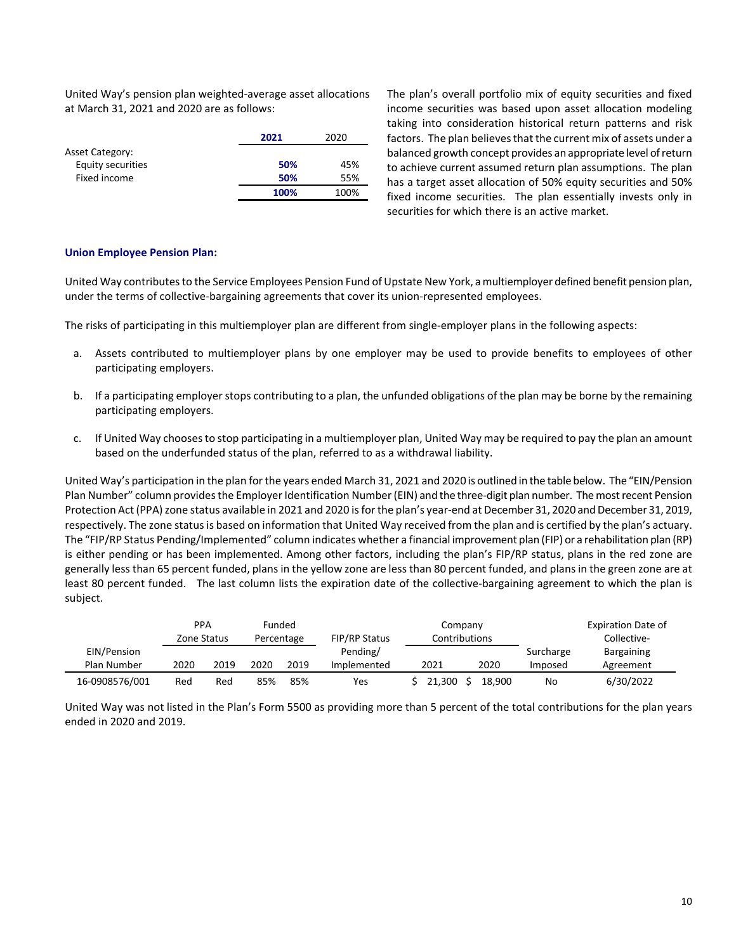United Way's pension plan weighted-average asset allocations at March 31, 2021 and 2020 are as follows:

|                        | 2021 | 2020 |
|------------------------|------|------|
| <b>Asset Category:</b> |      |      |
| Equity securities      | 50%  | 45%  |
| Fixed income           | 50%  | 55%  |
|                        | 100% | 100% |
|                        |      |      |

The plan's overall portfolio mix of equity securities and fixed income securities was based upon asset allocation modeling taking into consideration historical return patterns and risk factors. The plan believes that the current mix of assets under a balanced growth concept provides an appropriate level of return to achieve current assumed return plan assumptions. The plan has a target asset allocation of 50% equity securities and 50% fixed income securities. The plan essentially invests only in securities for which there is an active market.

## **Union Employee Pension Plan:**

United Way contributes to the Service Employees Pension Fund of Upstate New York, amultiemployer defined benefit pension plan, under the terms of collective-bargaining agreements that cover its union-represented employees.

The risks of participating in this multiemployer plan are different from single-employer plans in the following aspects:

- a. Assets contributed to multiemployer plans by one employer may be used to provide benefits to employees of other participating employers.
- b. If a participating employer stops contributing to a plan, the unfunded obligations of the plan may be borne by the remaining participating employers.
- c. If United Way chooses to stop participating in a multiemployer plan, United Way may be required to pay the plan an amount based on the underfunded status of the plan, referred to as a withdrawal liability.

United Way's participation in the plan for the years ended March 31, 2021 and 2020 is outlined in the table below. The "EIN/Pension Plan Number" column provides the Employer Identification Number (EIN) and the three-digit plan number. The most recent Pension Protection Act (PPA) zone status available in 2021 and 2020 isfor the plan's year-end at December 31, 2020 and December 31, 2019, respectively. The zone status is based on information that United Way received from the plan and is certified by the plan's actuary. The "FIP/RP Status Pending/Implemented" column indicates whether a financial improvement plan (FIP) or a rehabilitation plan (RP) is either pending or has been implemented. Among other factors, including the plan's FIP/RP status, plans in the red zone are generally less than 65 percent funded, plans in the yellow zone are less than 80 percent funded, and plans in the green zone are at least 80 percent funded. The last column lists the expiration date of the collective-bargaining agreement to which the plan is subject.

|                | PPA  |             | Funded |            |               | Company       |        | <b>Expiration Date of</b> |             |
|----------------|------|-------------|--------|------------|---------------|---------------|--------|---------------------------|-------------|
|                |      | Zone Status |        | Percentage | FIP/RP Status | Contributions |        |                           | Collective- |
| EIN/Pension    |      |             |        |            | Pending/      |               |        | Surcharge                 | Bargaining  |
| Plan Number    | 2020 | 2019        | 2020   | 2019       | Implemented   | 2021          | 2020   | Imposed                   | Agreement   |
| 16-0908576/001 | Red  | Red         | 85%    | 85%        | Yes           | 21.300        | 18.900 | No                        | 6/30/2022   |

United Way was not listed in the Plan's Form 5500 as providing more than 5 percent of the total contributions for the plan years ended in 2020 and 2019.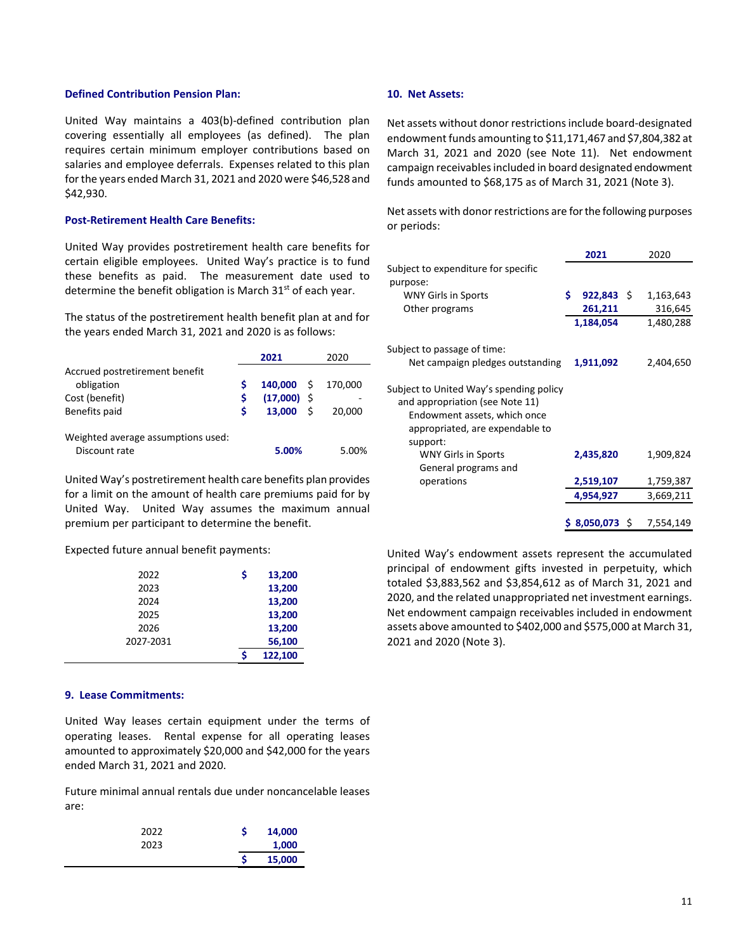#### **Defined Contribution Pension Plan:**

United Way maintains a 403(b)-defined contribution plan covering essentially all employees (as defined). The plan requires certain minimum employer contributions based on salaries and employee deferrals. Expenses related to this plan for the years ended March 31, 2021 and 2020 were \$46,528 and \$42,930.

## **Post-Retirement Health Care Benefits:**

United Way provides postretirement health care benefits for certain eligible employees. United Way's practice is to fund these benefits as paid. The measurement date used to determine the benefit obligation is March  $31<sup>st</sup>$  of each year.

The status of the postretirement health benefit plan at and for the years ended March 31, 2021 and 2020 is as follows:

|                                    |   | 2021          |   | 2020    |
|------------------------------------|---|---------------|---|---------|
| Accrued postretirement benefit     |   |               |   |         |
| obligation                         |   | $140,000$ \$  |   | 170,000 |
| Cost (benefit)                     | Ś | $(17,000)$ \$ |   |         |
| Benefits paid                      | Ś | 13,000        | Ŝ | 20,000  |
| Weighted average assumptions used: |   |               |   |         |
| Discount rate                      |   | 5.00%         |   | 5.00%   |

United Way's postretirement health care benefits plan provides for a limit on the amount of health care premiums paid for by United Way. United Way assumes the maximum annual premium per participant to determine the benefit.

Expected future annual benefit payments:

| 2022      | \$<br>13,200 |
|-----------|--------------|
| 2023      | 13,200       |
| 2024      | 13,200       |
| 2025      | 13,200       |
| 2026      | 13,200       |
| 2027-2031 | 56,100       |
|           | 122,100      |

# **9. Lease Commitments:**

United Way leases certain equipment under the terms of operating leases. Rental expense for all operating leases amounted to approximately \$20,000 and \$42,000 for the years ended March 31, 2021 and 2020.

Future minimal annual rentals due under noncancelable leases are:

| 2022 | 14,000 |
|------|--------|
| 2023 | 1,000  |
|      | 15,000 |

### **10. Net Assets:**

Net assets without donor restrictions include board-designated endowment funds amounting to \$11,171,467 and \$7,804,382 at March 31, 2021 and 2020 (see Note 11). Net endowment campaign receivables included in board designated endowment funds amounted to \$68,175 as of March 31, 2021 (Note 3).

Net assets with donor restrictions are for the following purposes or periods:

|                                                                             | 2021               | 2020      |
|-----------------------------------------------------------------------------|--------------------|-----------|
| Subject to expenditure for specific                                         |                    |           |
| purpose:                                                                    |                    |           |
| <b>WNY Girls in Sports</b>                                                  | Ś.<br>$922,843$ \$ | 1,163,643 |
| Other programs                                                              | 261,211            | 316,645   |
|                                                                             | 1,184,054          | 1,480,288 |
|                                                                             |                    |           |
| Subject to passage of time:                                                 |                    |           |
| Net campaign pledges outstanding                                            | 1,911,092          | 2,404,650 |
| Subject to United Way's spending policy<br>and appropriation (see Note 11)  |                    |           |
| Endowment assets, which once<br>appropriated, are expendable to<br>support: |                    |           |
| <b>WNY Girls in Sports</b><br>General programs and                          | 2,435,820          | 1,909,824 |
| operations                                                                  | 2,519,107          | 1,759,387 |
|                                                                             | 4,954,927          | 3,669,211 |
|                                                                             |                    |           |
|                                                                             | \$8,050,073\$      | 7,554,149 |
|                                                                             |                    |           |

United Way's endowment assets represent the accumulated principal of endowment gifts invested in perpetuity, which totaled \$3,883,562 and \$3,854,612 as of March 31, 2021 and 2020, and the related unappropriated net investment earnings. Net endowment campaign receivables included in endowment assets above amounted to \$402,000 and \$575,000 at March 31, 2021 and 2020 (Note 3).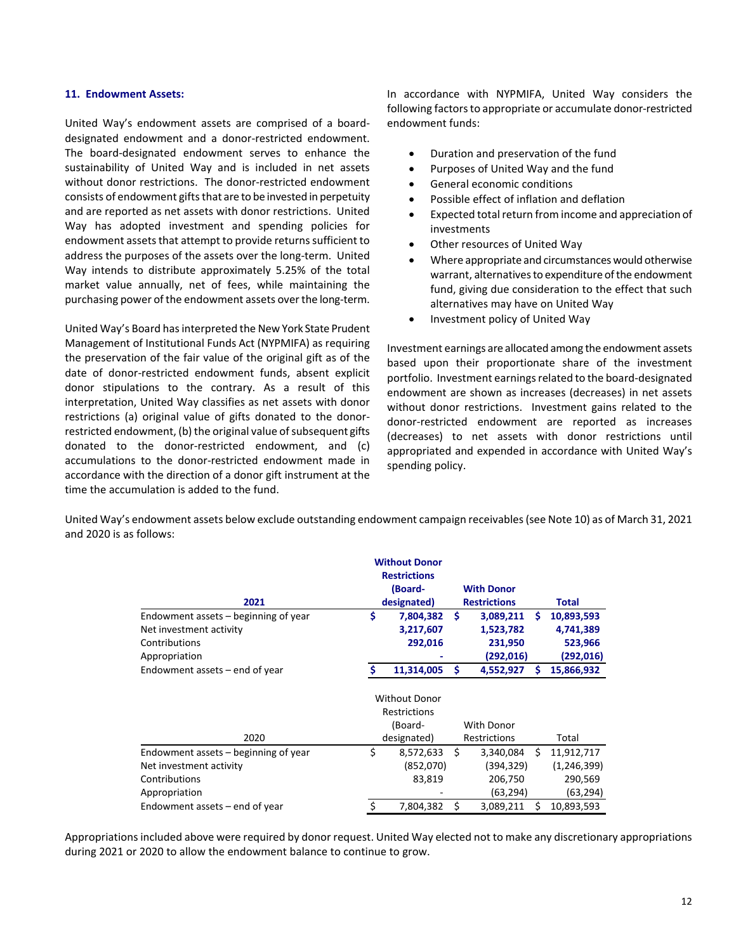## **11. Endowment Assets:**

United Way's endowment assets are comprised of a boarddesignated endowment and a donor-restricted endowment. The board-designated endowment serves to enhance the sustainability of United Way and is included in net assets without donor restrictions. The donor-restricted endowment consists of endowment gifts that are to be invested in perpetuity and are reported as net assets with donor restrictions. United Way has adopted investment and spending policies for endowment assets that attempt to provide returns sufficient to address the purposes of the assets over the long-term. United Way intends to distribute approximately 5.25% of the total market value annually, net of fees, while maintaining the purchasing power of the endowment assets over the long-term.

United Way's Board has interpreted the New York State Prudent Management of Institutional Funds Act (NYPMIFA) as requiring the preservation of the fair value of the original gift as of the date of donor-restricted endowment funds, absent explicit donor stipulations to the contrary. As a result of this interpretation, United Way classifies as net assets with donor restrictions (a) original value of gifts donated to the donorrestricted endowment, (b) the original value of subsequent gifts donated to the donor-restricted endowment, and (c) accumulations to the donor-restricted endowment made in accordance with the direction of a donor gift instrument at the time the accumulation is added to the fund.

In accordance with NYPMIFA, United Way considers the following factors to appropriate or accumulate donor-restricted endowment funds:

- Duration and preservation of the fund
- Purposes of United Way and the fund
- General economic conditions
- Possible effect of inflation and deflation
- Expected total return from income and appreciation of investments
- Other resources of United Way
- Where appropriate and circumstances would otherwise warrant, alternatives to expenditure of the endowment fund, giving due consideration to the effect that such alternatives may have on United Way
- Investment policy of United Way

Investment earnings are allocated among the endowment assets based upon their proportionate share of the investment portfolio. Investment earnings related to the board-designated endowment are shown as increases (decreases) in net assets without donor restrictions. Investment gains related to the donor-restricted endowment are reported as increases (decreases) to net assets with donor restrictions until appropriated and expended in accordance with United Way's spending policy.

United Way's endowment assets below exclude outstanding endowment campaign receivables (see Note 10) as of March 31, 2021 and 2020 is as follows:

| 2021                                 |    | <b>Without Donor</b><br><b>Restrictions</b><br>(Board-<br>designated) |   | <b>With Donor</b><br><b>Restrictions</b> |    | Total         |
|--------------------------------------|----|-----------------------------------------------------------------------|---|------------------------------------------|----|---------------|
| Endowment assets – beginning of year | \$ | 7,804,382                                                             | Ś | 3,089,211                                | S  | 10,893,593    |
| Net investment activity              |    | 3,217,607                                                             |   | 1,523,782                                |    | 4,741,389     |
| Contributions                        |    | 292,016                                                               |   | 231,950                                  |    | 523,966       |
| Appropriation                        |    |                                                                       |   | (292, 016)                               |    | (292,016)     |
| Endowment assets $-$ end of year     | Ŝ. | 11,314,005                                                            | S | 4,552,927                                | S  | 15,866,932    |
| 2020                                 |    | <b>Without Donor</b><br>Restrictions<br>(Board-                       |   | With Donor                               |    | Total         |
| Endowment assets – beginning of year | \$ | designated)<br>8,572,633                                              | Ś | Restrictions<br>3,340,084                | Ś. | 11,912,717    |
| Net investment activity              |    | (852,070)                                                             |   | (394,329)                                |    | (1, 246, 399) |
| Contributions                        |    | 83,819                                                                |   | 206,750                                  |    | 290,569       |
|                                      |    |                                                                       |   |                                          |    |               |
| Appropriation                        |    |                                                                       |   | (63, 294)                                |    | (63, 294)     |

Appropriations included above were required by donor request. United Way elected not to make any discretionary appropriations during 2021 or 2020 to allow the endowment balance to continue to grow.